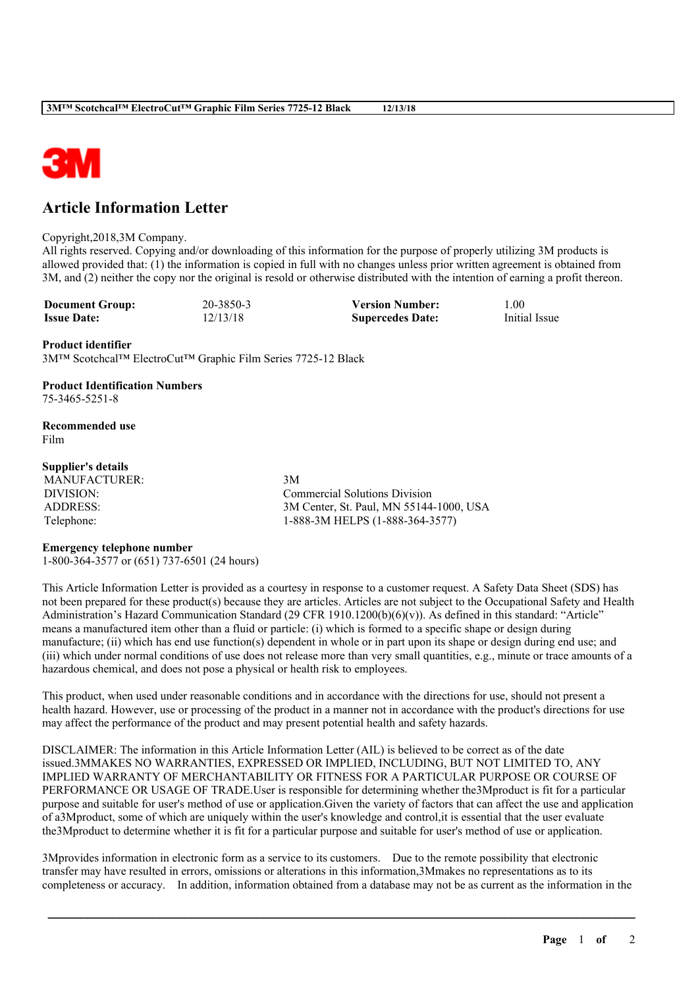

# **Article Information Letter**

#### Copyright,2018,3M Company.

All rights reserved. Copying and/or downloading of this information for the purpose of properly utilizing 3M products is allowed provided that: (1) the information is copied in full with no changes unless prior written agreement is obtained from 3M, and (2) neither the copy nor the original is resold or otherwise distributed with the intention of earning a profit thereon.

**Document Group:** 20-3850-3 **Version Number:** 1.00<br> **Issue Date:** 12/13/18 **Sunercedes Date:** Initial Issue **Issue Date:** 12/13/18 **Supercedes Date:** 

### **Product identifier**

3M™ Scotchcal™ ElectroCut™ Graphic Film Series 7725-12 Black

### **Product Identification Numbers** 75-3465-5251-8

**Recommended use** Film

### **Supplier's details**

MANUFACTURER: 3M

DIVISION: Commercial Solutions Division ADDRESS: 3M Center, St. Paul, MN 55144-1000, USA Telephone: 1-888-3M HELPS (1-888-364-3577)

## **Emergency telephone number**

1-800-364-3577 or (651) 737-6501 (24 hours)

This Article Information Letter is provided as a courtesy in response to a customer request. A Safety Data Sheet (SDS) has not been prepared for these product(s) because they are articles. Articles are not subject to the Occupational Safety and Health Administration's Hazard Communication Standard (29 CFR 1910.1200(b)(6)(v)). As defined in this standard: "Article" means a manufactured item other than a fluid or particle: (i) which is formed to a specific shape or design during manufacture; (ii) which has end use function(s) dependent in whole or in part upon its shape or design during end use; and (iii) which under normal conditions of use does not release more than very small quantities, e.g., minute or trace amounts of a hazardous chemical, and does not pose a physical or health risk to employees.

This product, when used under reasonable conditions and in accordance with the directions for use, should not present a health hazard. However, use or processing of the product in a manner not in accordance with the product's directions for use may affect the performance of the product and may present potential health and safety hazards.

DISCLAIMER: The information in this Article Information Letter (AIL) is believed to be correct as of the date issued.3MMAKES NO WARRANTIES, EXPRESSED OR IMPLIED, INCLUDING, BUT NOT LIMITED TO, ANY IMPLIED WARRANTY OF MERCHANTABILITY OR FITNESS FOR A PARTICULAR PURPOSE OR COURSE OF PERFORMANCE OR USAGE OF TRADE.User is responsible for determining whether the3Mproduct is fit for a particular purpose and suitable for user's method of use or application.Given the variety of factors that can affect the use and application of a3Mproduct, some of which are uniquely within the user's knowledge and control,it is essential that the user evaluate the3Mproduct to determine whether it is fit for a particular purpose and suitable for user's method of use or application.

3Mprovides information in electronic form as a service to its customers. Due to the remote possibility that electronic transfer may have resulted in errors, omissions or alterations in this information,3Mmakes no representations as to its completeness or accuracy. In addition, information obtained from a database may not be as current as the information in the

\_\_\_\_\_\_\_\_\_\_\_\_\_\_\_\_\_\_\_\_\_\_\_\_\_\_\_\_\_\_\_\_\_\_\_\_\_\_\_\_\_\_\_\_\_\_\_\_\_\_\_\_\_\_\_\_\_\_\_\_\_\_\_\_\_\_\_\_\_\_\_\_\_\_\_\_\_\_\_\_\_\_\_\_\_\_\_\_\_\_